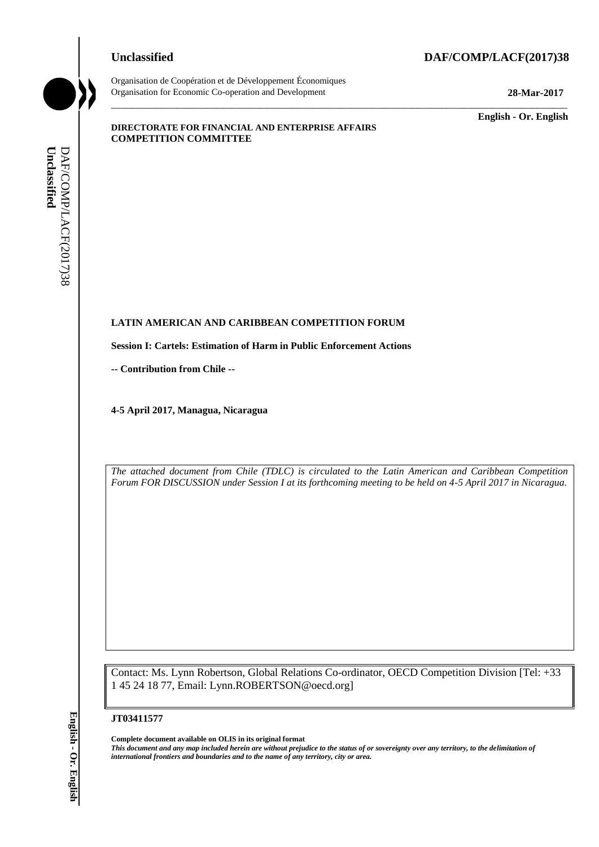#### **Unclassified DAF/COMP/LACF(2017)38**



Organisation de Coopération et de Développement Économiques Organisation for Economic Co-operation and Development **28-Mar-2017**

\_\_\_\_\_\_\_\_\_\_\_\_\_ **English - Or. English**

#### **DIRECTORATE FOR FINANCIAL AND ENTERPRISE AFFAIRS COMPETITION COMMITTEE**

# **LATIN AMERICAN AND CARIBBEAN COMPETITION FORUM LATIN AMERICAN AND C<br>Session I: Cartels: Estimation<br>-- Contribution from Chile --**

**Session I: Cartels: Estimation of Harm in Public Enforcement Actions**

**4-5 April 2017, Managua, Nicaragua**

*The attached document from Chile (TDLC) is circulated to the Latin American and Caribbean Competition Forum FOR DISCUSSION under Session I at its forthcoming meeting to be held on 4-5 April 2017 in Nicaragua.* 

\_\_\_\_\_\_\_\_\_\_\_\_\_\_\_\_\_\_\_\_\_\_\_\_\_\_\_\_\_\_\_\_\_\_\_\_\_\_\_\_\_\_\_\_\_\_\_\_\_\_\_\_\_\_\_\_\_\_\_\_\_\_\_\_\_\_\_\_\_\_\_\_\_\_\_\_\_\_\_\_\_\_\_\_\_\_\_\_\_\_\_

Contact: Ms. Lynn Robertson, Global Relations Co-ordinator, OECD Competition Division [Tel: +33 1 45 24 18 77, Email: Lynn.ROBERTSON@oecd.org]

#### **JT03411577**

**Complete document available on OLIS in its original format** *This document and any map included herein are without prejudice to the status of or sovereignty over any territory, to the delimitation of international frontiers and boundaries and to the name of any territory, city or area.* **Unclassified** DAF/COMP/LACF(2017)38 **English - Or. English**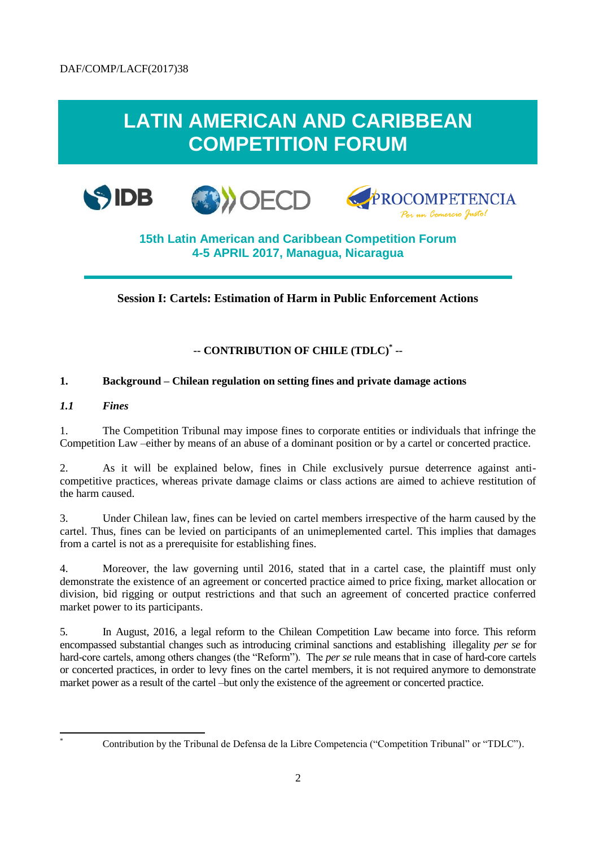## **LATIN AMERICAN AND CARIBBEAN COMPETITION FORUM**







### **15th Latin American and Caribbean Competition Forum 4-5 APRIL 2017, Managua, Nicaragua**

#### **Session I: Cartels: Estimation of Harm in Public Enforcement Actions**

#### **-- CONTRIBUTION OF CHILE (TDLC)\* --**

#### **1. Background – Chilean regulation on setting fines and private damage actions**

*1.1 Fines*

l

1. The Competition Tribunal may impose fines to corporate entities or individuals that infringe the Competition Law –either by means of an abuse of a dominant position or by a cartel or concerted practice.

2. As it will be explained below, fines in Chile exclusively pursue deterrence against anticompetitive practices, whereas private damage claims or class actions are aimed to achieve restitution of the harm caused.

3. Under Chilean law, fines can be levied on cartel members irrespective of the harm caused by the cartel. Thus, fines can be levied on participants of an unimeplemented cartel. This implies that damages from a cartel is not as a prerequisite for establishing fines.

4. Moreover, the law governing until 2016, stated that in a cartel case, the plaintiff must only demonstrate the existence of an agreement or concerted practice aimed to price fixing, market allocation or division, bid rigging or output restrictions and that such an agreement of concerted practice conferred market power to its participants.

5. In August, 2016, a legal reform to the Chilean Competition Law became into force. This reform encompassed substantial changes such as introducing criminal sanctions and establishing illegality *per se* for hard-core cartels, among others changes (the "Reform"). The *per se* rule means that in case of hard-core cartels or concerted practices, in order to levy fines on the cartel members, it is not required anymore to demonstrate market power as a result of the cartel –but only the existence of the agreement or concerted practice.

Contribution by the Tribunal de Defensa de la Libre Competencia ("Competition Tribunal" or "TDLC").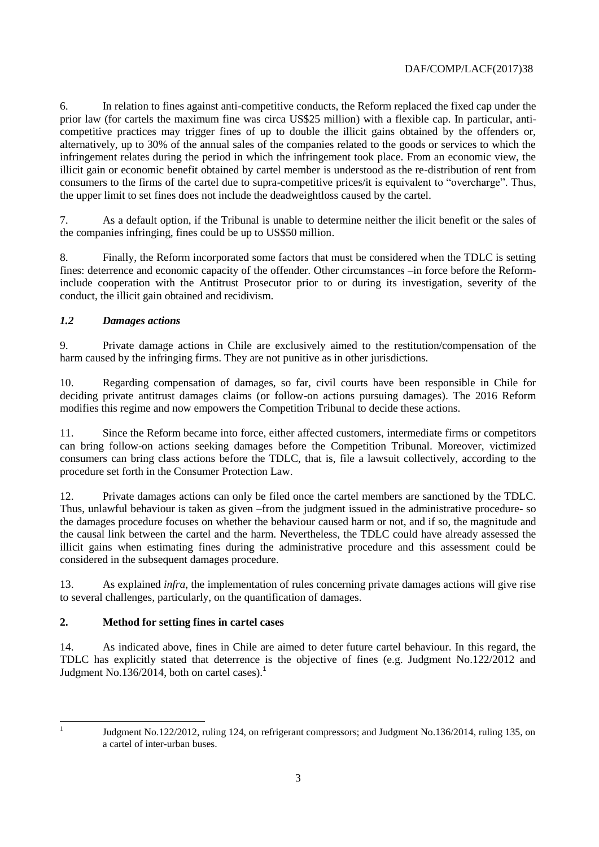6. In relation to fines against anti-competitive conducts, the Reform replaced the fixed cap under the prior law (for cartels the maximum fine was circa US\$25 million) with a flexible cap. In particular, anticompetitive practices may trigger fines of up to double the illicit gains obtained by the offenders or, alternatively, up to 30% of the annual sales of the companies related to the goods or services to which the infringement relates during the period in which the infringement took place. From an economic view, the illicit gain or economic benefit obtained by cartel member is understood as the re-distribution of rent from consumers to the firms of the cartel due to supra-competitive prices/it is equivalent to "overcharge". Thus, the upper limit to set fines does not include the deadweightloss caused by the cartel.

7. As a default option, if the Tribunal is unable to determine neither the ilicit benefit or the sales of the companies infringing, fines could be up to US\$50 million.

8. Finally, the Reform incorporated some factors that must be considered when the TDLC is setting fines: deterrence and economic capacity of the offender. Other circumstances –in force before the Reforminclude cooperation with the Antitrust Prosecutor prior to or during its investigation, severity of the conduct, the illicit gain obtained and recidivism.

#### *1.2 Damages actions*

9. Private damage actions in Chile are exclusively aimed to the restitution/compensation of the harm caused by the infringing firms. They are not punitive as in other jurisdictions.

10. Regarding compensation of damages, so far, civil courts have been responsible in Chile for deciding private antitrust damages claims (or follow-on actions pursuing damages). The 2016 Reform modifies this regime and now empowers the Competition Tribunal to decide these actions.

11. Since the Reform became into force, either affected customers, intermediate firms or competitors can bring follow-on actions seeking damages before the Competition Tribunal. Moreover, victimized consumers can bring class actions before the TDLC, that is, file a lawsuit collectively, according to the procedure set forth in the Consumer Protection Law.

12. Private damages actions can only be filed once the cartel members are sanctioned by the TDLC. Thus, unlawful behaviour is taken as given –from the judgment issued in the administrative procedure- so the damages procedure focuses on whether the behaviour caused harm or not, and if so, the magnitude and the causal link between the cartel and the harm. Nevertheless, the TDLC could have already assessed the illicit gains when estimating fines during the administrative procedure and this assessment could be considered in the subsequent damages procedure.

13. As explained *infra*, the implementation of rules concerning private damages actions will give rise to several challenges, particularly, on the quantification of damages.

#### **2. Method for setting fines in cartel cases**

14. As indicated above, fines in Chile are aimed to deter future cartel behaviour. In this regard, the TDLC has explicitly stated that deterrence is the objective of fines (e.g. Judgment No.122/2012 and Judgment No.136/2014, both on cartel cases). $<sup>1</sup>$ </sup>

|<br>|<br>|

Judgment No.122/2012, ruling 124, on refrigerant compressors; and Judgment No.136/2014, ruling 135, on a cartel of inter-urban buses.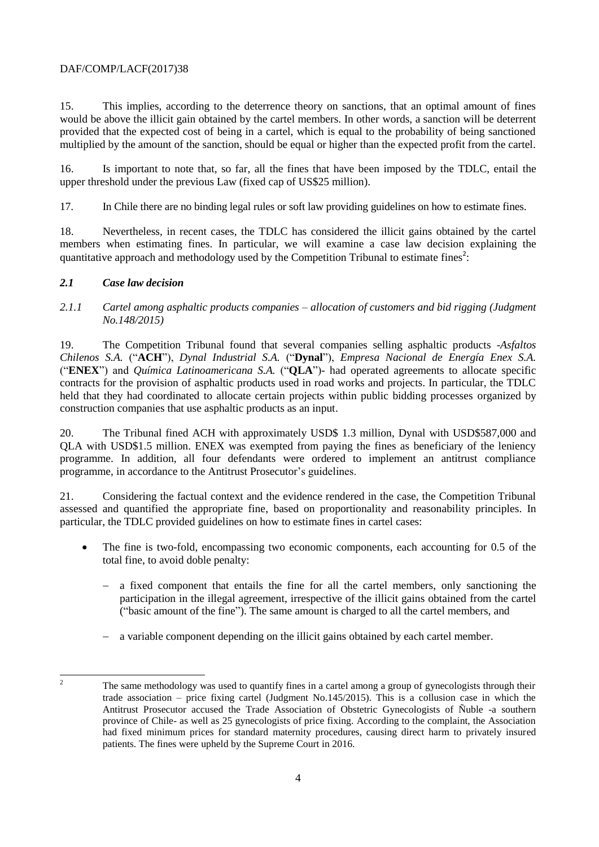#### DAF/COMP/LACF(2017)38

15. This implies, according to the deterrence theory on sanctions, that an optimal amount of fines would be above the illicit gain obtained by the cartel members. In other words, a sanction will be deterrent provided that the expected cost of being in a cartel, which is equal to the probability of being sanctioned multiplied by the amount of the sanction, should be equal or higher than the expected profit from the cartel.

16. Is important to note that, so far, all the fines that have been imposed by the TDLC, entail the upper threshold under the previous Law (fixed cap of US\$25 million).

17. In Chile there are no binding legal rules or soft law providing guidelines on how to estimate fines.

18. Nevertheless, in recent cases, the TDLC has considered the illicit gains obtained by the cartel members when estimating fines. In particular, we will examine a case law decision explaining the quantitative approach and methodology used by the Competition Tribunal to estimate fines<sup>2</sup>:

#### *2.1 Case law decision*

*2.1.1 Cartel among asphaltic products companies – allocation of customers and bid rigging (Judgment No.148/2015)*

19. The Competition Tribunal found that several companies selling asphaltic products -*Asfaltos Chilenos S.A.* ("**ACH**"), *Dynal Industrial S.A.* ("**Dynal**"), *Empresa Nacional de Energía Enex S.A.* ("**ENEX**") and *Química Latinoamericana S.A.* ("**QLA**")- had operated agreements to allocate specific contracts for the provision of asphaltic products used in road works and projects. In particular, the TDLC held that they had coordinated to allocate certain projects within public bidding processes organized by construction companies that use asphaltic products as an input.

20. The Tribunal fined ACH with approximately USD\$ 1.3 million, Dynal with USD\$587,000 and QLA with USD\$1.5 million. ENEX was exempted from paying the fines as beneficiary of the leniency programme. In addition, all four defendants were ordered to implement an antitrust compliance programme, in accordance to the Antitrust Prosecutor's guidelines.

21. Considering the factual context and the evidence rendered in the case, the Competition Tribunal assessed and quantified the appropriate fine, based on proportionality and reasonability principles. In particular, the TDLC provided guidelines on how to estimate fines in cartel cases:

- The fine is two-fold, encompassing two economic components, each accounting for 0.5 of the total fine, to avoid doble penalty:
	- a fixed component that entails the fine for all the cartel members, only sanctioning the participation in the illegal agreement, irrespective of the illicit gains obtained from the cartel ("basic amount of the fine"). The same amount is charged to all the cartel members, and
	- a variable component depending on the illicit gains obtained by each cartel member.

 $\overline{2}$ <sup>2</sup> The same methodology was used to quantify fines in a cartel among a group of gynecologists through their trade association – price fixing cartel (Judgment No.145/2015). This is a collusion case in which the Antitrust Prosecutor accused the Trade Association of Obstetric Gynecologists of Ñuble -a southern province of Chile- as well as 25 gynecologists of price fixing. According to the complaint, the Association had fixed minimum prices for standard maternity procedures, causing direct harm to privately insured patients. The fines were upheld by the Supreme Court in 2016.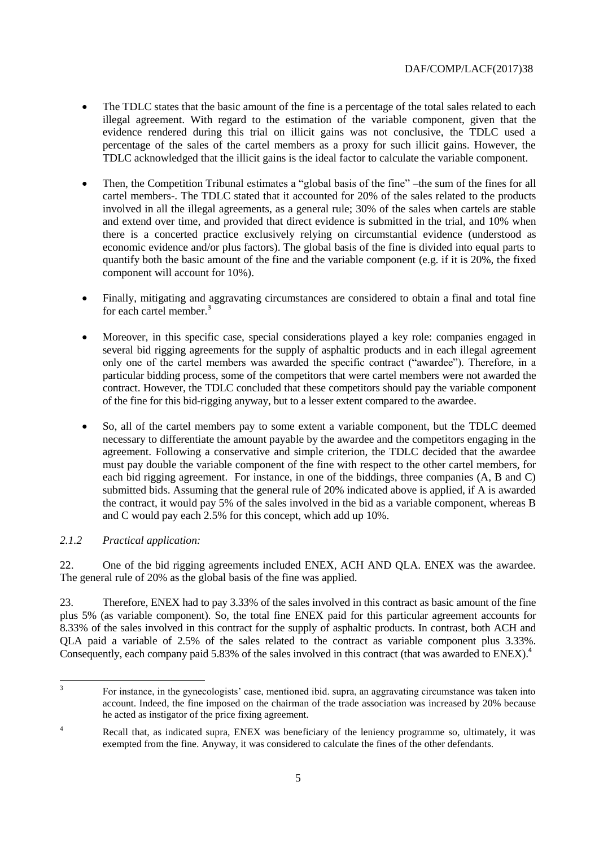- The TDLC states that the basic amount of the fine is a percentage of the total sales related to each illegal agreement. With regard to the estimation of the variable component, given that the evidence rendered during this trial on illicit gains was not conclusive, the TDLC used a percentage of the sales of the cartel members as a proxy for such illicit gains. However, the TDLC acknowledged that the illicit gains is the ideal factor to calculate the variable component.
- Then, the Competition Tribunal estimates a "global basis of the fine" –the sum of the fines for all cartel members-. The TDLC stated that it accounted for 20% of the sales related to the products involved in all the illegal agreements, as a general rule; 30% of the sales when cartels are stable and extend over time, and provided that direct evidence is submitted in the trial, and 10% when there is a concerted practice exclusively relying on circumstantial evidence (understood as economic evidence and/or plus factors). The global basis of the fine is divided into equal parts to quantify both the basic amount of the fine and the variable component (e.g. if it is  $20\%$ , the fixed component will account for 10%).
- Finally, mitigating and aggravating circumstances are considered to obtain a final and total fine for each cartel member.<sup>3</sup>
- Moreover, in this specific case, special considerations played a key role: companies engaged in several bid rigging agreements for the supply of asphaltic products and in each illegal agreement only one of the cartel members was awarded the specific contract ("awardee"). Therefore, in a particular bidding process, some of the competitors that were cartel members were not awarded the contract. However, the TDLC concluded that these competitors should pay the variable component of the fine for this bid-rigging anyway, but to a lesser extent compared to the awardee.
- So, all of the cartel members pay to some extent a variable component, but the TDLC deemed necessary to differentiate the amount payable by the awardee and the competitors engaging in the agreement. Following a conservative and simple criterion, the TDLC decided that the awardee must pay double the variable component of the fine with respect to the other cartel members, for each bid rigging agreement. For instance, in one of the biddings, three companies (A, B and C) submitted bids. Assuming that the general rule of 20% indicated above is applied, if A is awarded the contract, it would pay 5% of the sales involved in the bid as a variable component, whereas B and C would pay each 2.5% for this concept, which add up 10%.

#### *2.1.2 Practical application:*

22. One of the bid rigging agreements included ENEX, ACH AND QLA. ENEX was the awardee. The general rule of 20% as the global basis of the fine was applied.

23. Therefore, ENEX had to pay 3.33% of the sales involved in this contract as basic amount of the fine plus 5% (as variable component). So, the total fine ENEX paid for this particular agreement accounts for 8.33% of the sales involved in this contract for the supply of asphaltic products. In contrast, both ACH and QLA paid a variable of 2.5% of the sales related to the contract as variable component plus 3.33%. Consequently, each company paid 5.83% of the sales involved in this contract (that was awarded to ENEX).<sup>4</sup>

 3 For instance, in the gynecologists' case, mentioned ibid. supra, an aggravating circumstance was taken into account. Indeed, the fine imposed on the chairman of the trade association was increased by 20% because he acted as instigator of the price fixing agreement.

<sup>&</sup>lt;sup>4</sup> Recall that, as indicated supra, ENEX was beneficiary of the leniency programme so, ultimately, it was exempted from the fine. Anyway, it was considered to calculate the fines of the other defendants.